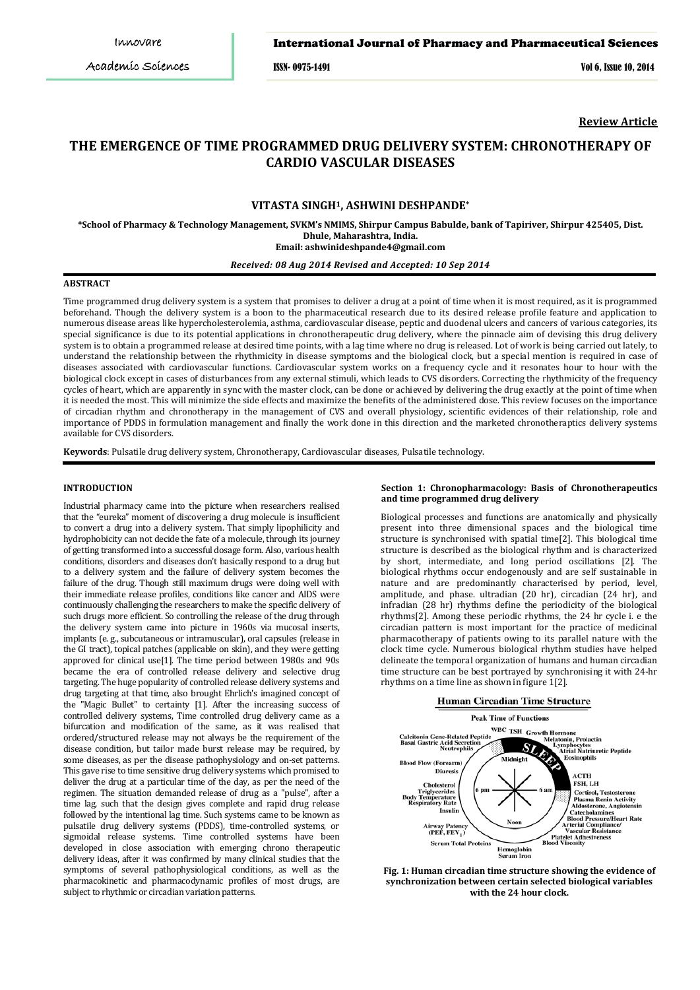### International Journal of Pharmacy and Pharmaceutical Sciences

ISSN- 0975-1491 Vol 6, Issue 10, 2014

**Review Article**

# **THE EMERGENCE OF TIME PROGRAMMED DRUG DELIVERY SYSTEM: CHRONOTHERAPY OF CARDIO VASCULAR DISEASES**

### **VITASTA SINGH1, ASHWINI DESHPANDE \***

**\*School of Pharmacy & Technology Management, SVKM's NMIMS, Shirpur Campus Babulde, bank of Tapiriver, Shirpur 425405, Dist. Dhule, Maharashtra, India.**

**Email: ashwinideshpande4@gmail.com**

## *Received: 08 Aug 2014 Revised and Accepted: 10 Sep 2014*

#### **ABSTRACT**

Time programmed drug delivery system is a system that promises to deliver a drug at a point of time when it is most required, as it is programmed beforehand. Though the delivery system is a boon to the pharmaceutical research due to its desired release profile feature and application to numerous disease areas like hypercholesterolemia, asthma, cardiovascular disease, peptic and duodenal ulcers and cancers of various categories, its special significance is due to its potential applications in chronotherapeutic drug delivery, where the pinnacle aim of devising this drug delivery system is to obtain a programmed release at desired time points, with a lag time where no drug is released. Lot of work is being carried out lately, to understand the relationship between the rhythmicity in disease symptoms and the biological clock, but a special mention is required in case of diseases associated with cardiovascular functions. Cardiovascular system works on a frequency cycle and it resonates hour to hour with the biological clock except in cases of disturbances from any external stimuli, which leads to CVS disorders. Correcting the rhythmicity of the frequency cycles of heart, which are apparently in sync with the master clock, can be done or achieved by delivering the drug exactly at the point of time when it is needed the most. This will minimize the side effects and maximize the benefits of the administered dose. This review focuses on the importance of circadian rhythm and chronotherapy in the management of CVS and overall physiology, scientific evidences of their relationship, role and importance of PDDS in formulation management and finally the work done in this direction and the marketed chronotheraptics delivery systems available for CVS disorders.

**Keywords**: Pulsatile drug delivery system, Chronotherapy, Cardiovascular diseases, Pulsatile technology.

#### **INTRODUCTION**

Industrial pharmacy came into the picture when researchers realised that the "eureka" moment of discovering a drug molecule is insufficient to convert a drug into a delivery system. That simply lipophilicity and hydrophobicity can not decide the fate of a molecule, through its journey of getting transformed into a successful dosage form. Also, various health conditions, disorders and diseases don't basically respond to a drug but to a delivery system and the failure of delivery system becomes the failure of the drug. Though still maximum drugs were doing well with their immediate release profiles, conditions like cancer and AIDS were continuously challenging the researchers to make the specific delivery of such drugs more efficient. So controlling the release of the drug through the delivery system came into picture in 1960s via mucosal inserts, implants (e. g., subcutaneous or intramuscular), oral capsules (release in the GI tract), topical patches (applicable on skin), and they were getting approved for clinical use[1]. The time period between 1980s and 90s became the era of controlled release delivery and selective drug targeting. The huge popularity of controlled release delivery systems and drug targeting at that time, also brought Ehrlich's imagined concept of the "Magic Bullet" to certainty [1]. After the increasing success of controlled delivery systems, Time controlled drug delivery came as a bifurcation and modification of the same, as it was realised that ordered/structured release may not always be the requirement of the disease condition, but tailor made burst release may be required, by some diseases, as per the disease pathophysiology and on-set patterns. This gave rise to time sensitive drug delivery systems which promised to deliver the drug at a particular time of the day, as per the need of the regimen. The situation demanded release of drug as a "pulse", after a time lag, such that the design gives complete and rapid drug release followed by the intentional lag time. Such systems came to be known as pulsatile drug delivery systems (PDDS), time-controlled systems, or sigmoidal release systems. Time controlled systems have been developed in close association with emerging chrono therapeutic delivery ideas, after it was confirmed by many clinical studies that the symptoms of several pathophysiological conditions, as well as the pharmacokinetic and pharmacodynamic profiles of most drugs, are subject to rhythmic or circadian variation patterns.

### **Section 1: Chronopharmacology: Basis of Chronotherapeutics and time programmed drug delivery**

Biological processes and functions are anatomically and physically present into three dimensional spaces and the biological time structure is synchronised with spatial time[2]. This biological time structure is described as the biological rhythm and is characterized by short, intermediate, and long period oscillations [2]. The biological rhythms occur endogenously and are self sustainable in nature and are predominantly characterised by period, level, amplitude, and phase. ultradian (20 hr), circadian (24 hr), and infradian (28 hr) rhythms define the periodicity of the biological rhythms[2]. Among these periodic rhythms, the 24 hr cycle i. e the circadian pattern is most important for the practice of medicinal pharmacotherapy of patients owing to its parallel nature with the clock time cycle. Numerous biological rhythm studies have helped delineate the temporal organization of humans and human circadian time structure can be best portrayed by synchronising it with 24-hr rhythms on a time line as shown in figure 1[2].





**Fig. 1: Human circadian time structure showing the evidence of synchronization between certain selected biological variables with the 24 hour clock.**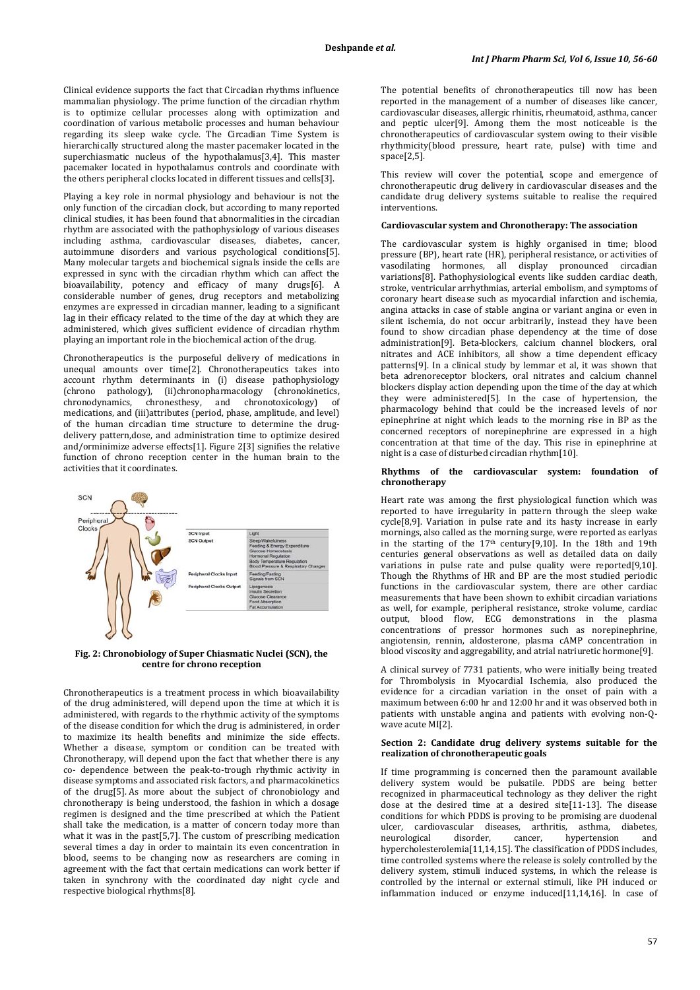Clinical evidence supports the fact that Circadian rhythms influence mammalian physiology. The prime function of the circadian rhythm is to optimize cellular processes along with optimization and coordination of various metabolic processes and human behaviour regarding its sleep wake cycle. The Circadian Time System is hierarchically structured along the master pacemaker located in the superchiasmatic nucleus of the hypothalamus[3,4]. This master pacemaker located in hypothalamus controls and coordinate with the others peripheral clocks located in different tissues and cells[3].

Playing a key role in normal physiology and behaviour is not the only function of the circadian clock, but according to many reported clinical studies, it has been found that abnormalities in the circadian rhythm are associated with the pathophysiology of various diseases including asthma, cardiovascular diseases, diabetes, cancer, autoimmune disorders and various psychological conditions[5]. Many molecular targets and biochemical signals inside the cells are expressed in sync with the circadian rhythm which can affect the bioavailability, potency and efficacy of many drugs[6]. A considerable number of genes, drug receptors and metabolizing enzymes are expressed in circadian manner, leading to a significant lag in their efficacy related to the time of the day at which they are administered, which gives sufficient evidence of circadian rhythm playing an important role in the biochemical action of the drug.

Chronotherapeutics is the purposeful delivery of medications in unequal amounts over time[2]. Chronotherapeutics takes into account rhythm determinants in (i) disease pathophysiology (chrono pathology), (ii)chronopharmacology (chronokinetics, chronodynamics, chronesthesy, and chronotoxicology) of chronodynamics, chronesthesy, and chronotoxicology) of medications, and (iii)attributes (period, phase, amplitude, and level) of the human circadian time structure to determine the drugdelivery pattern,dose, and administration time to optimize desired and/orminimize adverse effects[1]. Figure 2[3] signifies the relative function of chrono reception center in the human brain to the activities that it coordinates.



#### **Fig. 2: Chronobiology of Super Chiasmatic Nuclei (SCN), the centre for chrono reception**

Chronotherapeutics is a treatment process in which bioavailability of the drug administered, will depend upon the time at which it is administered, with regards to the rhythmic activity of the symptoms of the disease condition for which the drug is administered, in order to maximize its health benefits and minimize the side effects. Whether a disease, symptom or condition can be treated with Chronotherapy, will depend upon the fact that whether there is any co- dependence between the peak-to-trough rhythmic activity in disease symptoms and associated risk factors, and pharmacokinetics of the drug[5]. As more about the subject of chronobiology and chronotherapy is being understood, the fashion in which a dosage regimen is designed and the time prescribed at which the Patient shall take the medication, is a matter of concern today more than what it was in the past<sup>[5,7]</sup>. The custom of prescribing medication several times a day in order to maintain its even concentration in blood, seems to be changing now as researchers are coming in agreement with the fact that certain medications can work better if taken in synchrony with the coordinated day night cycle and respective biological rhythms[8].

The potential benefits of chronotherapeutics till now has been reported in the management of a number of diseases like cancer, cardiovascular diseases, allergic rhinitis, rheumatoid, asthma, cancer and peptic ulcer[9]. Among them the most noticeable is the chronotherapeutics of cardiovascular system owing to their visible rhythmicity(blood pressure, heart rate, pulse) with time and space[2,5].

This review will cover the potential, scope and emergence of chronotherapeutic drug delivery in cardiovascular diseases and the candidate drug delivery systems suitable to realise the required interventions.

#### **Cardiovascular system and Chronotherapy: The association**

The cardiovascular system is highly organised in time; blood pressure (BP), heart rate (HR), peripheral resistance, or activities of vasodilating hormones, all display pronounced circadian variations[8]. Pathophysiological events like sudden cardiac death, stroke, ventricular arrhythmias, arterial embolism, and symptoms of coronary heart disease such as myocardial infarction and ischemia, angina attacks in case of stable angina or variant angina or even in silent ischemia, do not occur arbitrarily, instead they have been found to show circadian phase dependency at the time of dose administration[9]. Beta-blockers, calcium channel blockers, oral nitrates and ACE inhibitors, all show a time dependent efficacy patterns[9]. In a clinical study by lemmar et al, it was shown that beta adrenoreceptor blockers, oral nitrates and calcium channel blockers display action depending upon the time of the day at which they were administered[5]. In the case of hypertension, the pharmacology behind that could be the increased levels of nor epinephrine at night which leads to the morning rise in BP as the concerned receptors of norepinephrine are expressed in a high concentration at that time of the day. This rise in epinephrine at night is a case of disturbed circadian rhythm[10].

#### **Rhythms of the cardiovascular system: foundation of chronotherapy**

Heart rate was among the first physiological function which was reported to have irregularity in pattern through the sleep wake cycle[8,9]. Variation in pulse rate and its hasty increase in early mornings, also called as the morning surge, were reported as earlyas in the starting of the 17th century[9,10]. In the 18th and 19th centuries general observations as well as detailed data on daily variations in pulse rate and pulse quality were reported[9,10]. Though the Rhythms of HR and BP are the most studied periodic functions in the cardiovascular system, there are other cardiac measurements that have been shown to exhibit circadian variations as well, for example, peripheral resistance, stroke volume, cardiac output, blood flow, ECG demonstrations in the plasma concentrations of pressor hormones such as norepinephrine, angiotensin, rennin, aldosterone, plasma cAMP concentration in blood viscosity and aggregability, and atrial natriuretic hormone[9].

A clinical survey of 7731 patients, who were initially being treated for Thrombolysis in Myocardial Ischemia, also produced the evidence for a circadian variation in the onset of pain with a maximum between 6:00 hr and 12:00 hr and it was observed both in patients with unstable angina and patients with evolving non-Qwave acute MI[2].

### **Section 2: Candidate drug delivery systems suitable for the realization of chronotherapeutic goals**

If time programming is concerned then the paramount available delivery system would be pulsatile. PDDS are being better recognized in pharmaceutical technology as they deliver the right dose at the desired time at a desired site[11-13]. The disease conditions for which PDDS is proving to be promising are duodenal ulcer, cardiovascular diseases, arthritis, asthma, diabetes, neurological disorder, cancer, hypertension and hypercholesterolemia[11,14,15]. The classification of PDDS includes, time controlled systems where the release is solely controlled by the delivery system, stimuli induced systems, in which the release is controlled by the internal or external stimuli, like PH induced or inflammation induced or enzyme induced[11,14,16]. In case of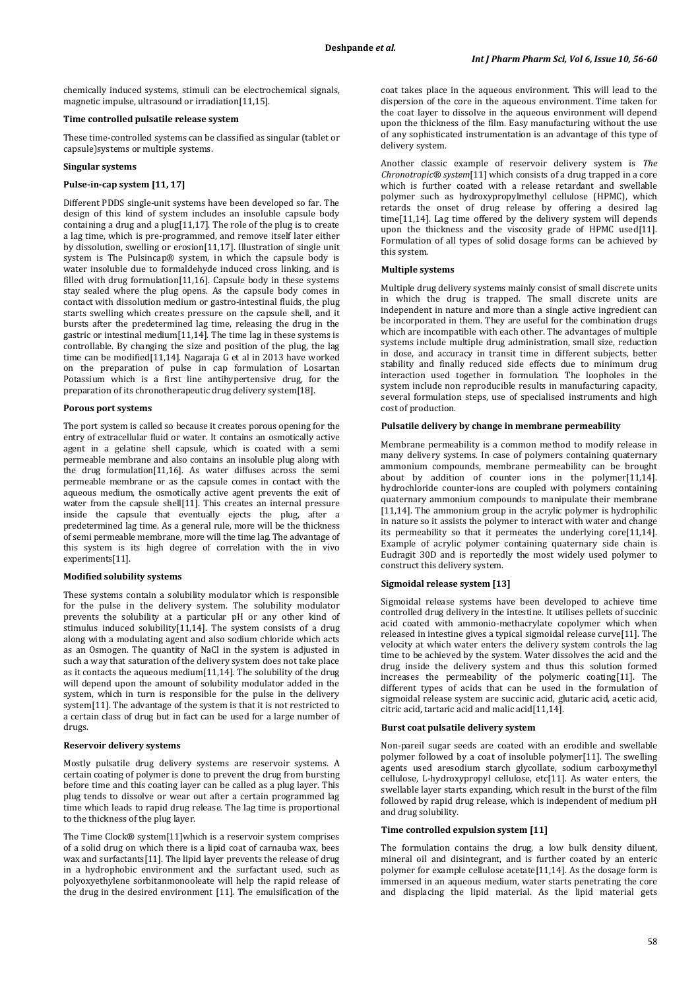chemically induced systems, stimuli can be electrochemical signals, magnetic impulse, ultrasound or irradiation[11,15].

### **Time controlled pulsatile release system**

These time-controlled systems can be classified as singular (tablet or capsule)systems or multiple systems.

#### **Singular systems**

### **Pulse-in-cap system [11, 17]**

Different PDDS single-unit systems have been developed so far. The design of this kind of system includes an insoluble capsule body containing a drug and a plug[11,17]. The role of the plug is to create a lag time, which is pre-programmed, and remove itself later either by dissolution, swelling or erosion[11,17]. Illustration of single unit system is The Pulsincap® system, in which the capsule body is water insoluble due to formaldehyde induced cross linking, and is filled with drug formulation[11,16]. Capsule body in these systems stay sealed where the plug opens. As the capsule body comes in contact with dissolution medium or gastro-intestinal fluids, the plug starts swelling which creates pressure on the capsule shell, and it bursts after the predetermined lag time, releasing the drug in the gastric or intestinal medium[11,14]. The time lag in these systems is controllable. By changing the size and position of the plug, the lag time can be modified[11,14]. Nagaraja G et al in 2013 have worked on the preparation of pulse in cap formulation of Losartan Potassium which is a first line antihypertensive drug, for the preparation of its chronotherapeutic drug delivery system[18].

#### **Porous port systems**

The port system is called so because it creates porous opening for the entry of extracellular fluid or water. It contains an osmotically active agent in a gelatine shell capsule, which is coated with a semi permeable membrane and also contains an insoluble plug along with the drug formulation[11,16]. As water diffuses across the semi permeable membrane or as the capsule comes in contact with the aqueous medium, the osmotically active agent prevents the exit of water from the capsule shell[11]. This creates an internal pressure inside the capsule that eventually ejects the plug, after a predetermined lag time. As a general rule, more will be the thickness of semi permeable membrane, more will the time lag. The advantage of this system is its high degree of correlation with the in vivo experiments[11].

#### **Modified solubility systems**

These systems contain a solubility modulator which is responsible for the pulse in the delivery system. The solubility modulator prevents the solubility at a particular pH or any other kind of stimulus induced solubility[11,14]. The system consists of a drug along with a modulating agent and also sodium chloride which acts as an Osmogen. The quantity of NaCl in the system is adjusted in such a way that saturation of the delivery system does not take place as it contacts the aqueous medium[11,14]. The solubility of the drug will depend upon the amount of solubility modulator added in the system, which in turn is responsible for the pulse in the delivery system[11]. The advantage of the system is that it is not restricted to a certain class of drug but in fact can be used for a large number of drugs.

#### **Reservoir delivery systems**

Mostly pulsatile drug delivery systems are reservoir systems. A certain coating of polymer is done to prevent the drug from bursting before time and this coating layer can be called as a plug layer. This plug tends to dissolve or wear out after a certain programmed lag time which leads to rapid drug release. The lag time is proportional to the thickness of the plug layer.

The Time Clock® system[11]which is a reservoir system comprises of a solid drug on which there is a lipid coat of carnauba wax, bees wax and surfactants[11]. The lipid layer prevents the release of drug in a hydrophobic environment and the surfactant used, such as polyoxyethylene sorbitanmonooleate will help the rapid release of the drug in the desired environment [11]. The emulsification of the

coat takes place in the aqueous environment. This will lead to the dispersion of the core in the aqueous environment. Time taken for the coat layer to dissolve in the aqueous environment will depend upon the thickness of the film. Easy manufacturing without the use of any sophisticated instrumentation is an advantage of this type of delivery system.

Another classic example of reservoir delivery system is *The Chronotropic® system*[11] which consists of a drug trapped in a core which is further coated with a release retardant and swellable polymer such as hydroxypropylmethyl cellulose (HPMC), which retards the onset of drug release by offering a desired lag time[11,14]. Lag time offered by the delivery system will depends upon the thickness and the viscosity grade of HPMC used[11]. Formulation of all types of solid dosage forms can be achieved by this system.

#### **Multiple systems**

Multiple drug delivery systems mainly consist of small discrete units in which the drug is trapped. The small discrete units are independent in nature and more than a single active ingredient can be incorporated in them. They are useful for the combination drugs which are incompatible with each other. The advantages of multiple systems include multiple drug administration, small size, reduction in dose, and accuracy in transit time in different subjects, better stability and finally reduced side effects due to minimum drug interaction used together in formulation. The loopholes in the system include non reproducible results in manufacturing capacity, several formulation steps, use of specialised instruments and high cost of production.

#### **Pulsatile delivery by change in membrane permeability**

Membrane permeability is a common method to modify release in many delivery systems. In case of polymers containing quaternary ammonium compounds, membrane permeability can be brought about by addition of counter ions in the polymer[11,14]. hydrochloride counter-ions are coupled with polymers containing quaternary ammonium compounds to manipulate their membrane [11,14]. The ammonium group in the acrylic polymer is hydrophilic in nature so it assists the polymer to interact with water and change its permeability so that it permeates the underlying core[11,14]. Example of acrylic polymer containing quaternary side chain is Eudragit 30D and is reportedly the most widely used polymer to construct this delivery system.

### **Sigmoidal release system [13]**

Sigmoidal release systems have been developed to achieve time controlled drug delivery in the intestine. It utilises pellets of succinic acid coated with ammonio-methacrylate copolymer which when released in intestine gives a typical sigmoidal release curve[11]. The velocity at which water enters the delivery system controls the lag time to be achieved by the system. Water dissolves the acid and the drug inside the delivery system and thus this solution formed increases the permeability of the polymeric coating[11]. The different types of acids that can be used in the formulation of sigmoidal release system are succinic acid, glutaric acid, acetic acid, citric acid, tartaric acid and malic acid[11,14].

### **Burst coat pulsatile delivery system**

Non-pareil sugar seeds are coated with an erodible and swellable polymer followed by a coat of insoluble polymer[11]. The swelling agents used aresodium starch glycollate, sodium carboxymethyl cellulose, L-hydroxypropyl cellulose, etc[11]. As water enters, the swellable layer starts expanding, which result in the burst of the film followed by rapid drug release, which is independent of medium pH and drug solubility.

### **Time controlled expulsion system [11]**

The formulation contains the drug, a low bulk density diluent, mineral oil and disintegrant, and is further coated by an enteric polymer for example cellulose acetate[11,14]. As the dosage form is immersed in an aqueous medium, water starts penetrating the core and displacing the lipid material. As the lipid material gets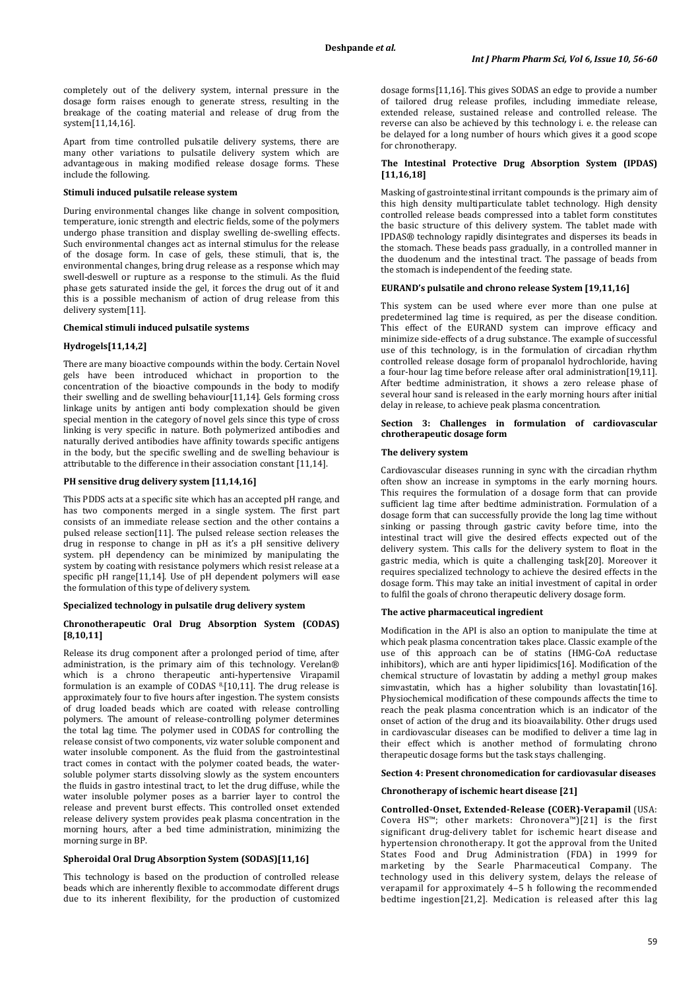completely out of the delivery system, internal pressure in the dosage form raises enough to generate stress, resulting in the breakage of the coating material and release of drug from the system[11,14,16].

Apart from time controlled pulsatile delivery systems, there are many other variations to pulsatile delivery system which are advantageous in making modified release dosage forms. These include the following.

#### **Stimuli induced pulsatile release system**

During environmental changes like change in solvent composition, temperature, ionic strength and electric fields, some of the polymers undergo phase transition and display swelling de-swelling effects. Such environmental changes act as internal stimulus for the release of the dosage form. In case of gels, these stimuli, that is, the environmental changes, bring drug release as a response which may swell-deswell or rupture as a response to the stimuli. As the fluid phase gets saturated inside the gel, it forces the drug out of it and this is a possible mechanism of action of drug release from this delivery system[11].

### **Chemical stimuli induced pulsatile systems**

### **Hydrogels[11,14,2]**

There are many bioactive compounds within the body. Certain Novel gels have been introduced whichact in proportion to the concentration of the bioactive compounds in the body to modify their swelling and de swelling behaviour[11,14]. Gels forming cross linkage units by antigen anti body complexation should be given special mention in the category of novel gels since this type of cross linking is very specific in nature. Both polymerized antibodies and naturally derived antibodies have affinity towards specific antigens in the body, but the specific swelling and de swelling behaviour is attributable to the difference in their association constant [11,14].

### **PH sensitive drug delivery system [11,14,16]**

This PDDS acts at a specific site which has an accepted pH range, and has two components merged in a single system. The first part consists of an immediate release section and the other contains a pulsed release section[11]. The pulsed release section releases the drug in response to change in pH as it's a pH sensitive delivery system. pH dependency can be minimized by manipulating the system by coating with resistance polymers which resist release at a specific pH range[11,14]. Use of pH dependent polymers will ease the formulation of this type of delivery system.

#### **Specialized technology in pulsatile drug delivery system**

### **Chronotherapeutic Oral Drug Absorption System (CODAS) [8,10,11]**

Release its drug component after a prolonged period of time, after administration, is the primary aim of this technology. Verelan® which is a chrono therapeutic anti-hypertensive Virapamil formulation is an example of CODAS 8, [10,11]. The drug release is approximately four to five hours after ingestion. The system consists of drug loaded beads which are coated with release controlling polymers. The amount of release-controlling polymer determines the total lag time. The polymer used in CODAS for controlling the release consist of two components, viz water soluble component and water insoluble component. As the fluid from the gastrointestinal tract comes in contact with the polymer coated beads, the watersoluble polymer starts dissolving slowly as the system encounters the fluids in gastro intestinal tract, to let the drug diffuse, while the water insoluble polymer poses as a barrier layer to control the release and prevent burst effects. This controlled onset extended release delivery system provides peak plasma concentration in the morning hours, after a bed time administration, minimizing the morning surge in BP.

### **Spheroidal Oral Drug Absorption System (SODAS)[11,16]**

This technology is based on the production of controlled release beads which are inherently flexible to accommodate different drugs due to its inherent flexibility, for the production of customized dosage forms[11,16]. This gives SODAS an edge to provide a number of tailored drug release profiles, including immediate release, extended release, sustained release and controlled release. The reverse can also be achieved by this technology i. e. the release can be delayed for a long number of hours which gives it a good scope for chronotherapy.

### **The Intestinal Protective Drug Absorption System (IPDAS) [11,16,18]**

Masking of gastrointestinal irritant compounds is the primary aim of this high density multiparticulate tablet technology. High density controlled release beads compressed into a tablet form constitutes the basic structure of this delivery system. The tablet made with IPDAS® technology rapidly disintegrates and disperses its beads in the stomach. These beads pass gradually, in a controlled manner in the duodenum and the intestinal tract. The passage of beads from the stomach is independent of the feeding state.

### **EURAND's pulsatile and chrono release System [19,11,16]**

This system can be used where ever more than one pulse at predetermined lag time is required, as per the disease condition. This effect of the EURAND system can improve efficacy and minimize side-effects of a drug substance. The example of successful use of this technology, is in the formulation of circadian rhythm controlled release dosage form of propanalol hydrochloride, having a four-hour lag time before release after oral administration[19,11]. After bedtime administration, it shows a zero release phase of several hour sand is released in the early morning hours after initial delay in release, to achieve peak plasma concentration.

### **Section 3: Challenges in formulation of cardiovascular chrotherapeutic dosage form**

### **The delivery system**

Cardiovascular diseases running in sync with the circadian rhythm often show an increase in symptoms in the early morning hours. This requires the formulation of a dosage form that can provide sufficient lag time after bedtime administration. Formulation of a dosage form that can successfully provide the long lag time without sinking or passing through gastric cavity before time, into the intestinal tract will give the desired effects expected out of the delivery system. This calls for the delivery system to float in the gastric media, which is quite a challenging task[20]. Moreover it requires specialized technology to achieve the desired effects in the dosage form. This may take an initial investment of capital in order to fulfil the goals of chrono therapeutic delivery dosage form.

#### **The active pharmaceutical ingredient**

Modification in the API is also an option to manipulate the time at which peak plasma concentration takes place. Classic example of the use of this approach can be of statins (HMG-CoA reductase inhibitors), which are anti hyper lipidimics[16]. Modification of the chemical structure of lovastatin by adding a methyl group makes simvastatin, which has a higher solubility than lovastatin[16]. Physiochemical modification of these compounds affects the time to reach the peak plasma concentration which is an indicator of the onset of action of the drug and its bioavailability. Other drugs used in cardiovascular diseases can be modified to deliver a time lag in their effect which is another method of formulating chrono therapeutic dosage forms but the task stays challenging.

#### **Section 4: Present chronomedication for cardiovasular diseases**

#### **Chronotherapy of ischemic heart disease [21]**

**Controlled-Onset, Extended-Release (COER)-Verapamil** (USA: Covera HS™; other markets: Chronovera™)[21] is the first significant drug-delivery tablet for ischemic heart disease and hypertension chronotherapy. It got the approval from the United States Food and Drug Administration (FDA) in 1999 for marketing by the Searle Pharmaceutical Company. The technology used in this delivery system, delays the release of verapamil for approximately 4–5 h following the recommended bedtime ingestion[21,2]. Medication is released after this lag